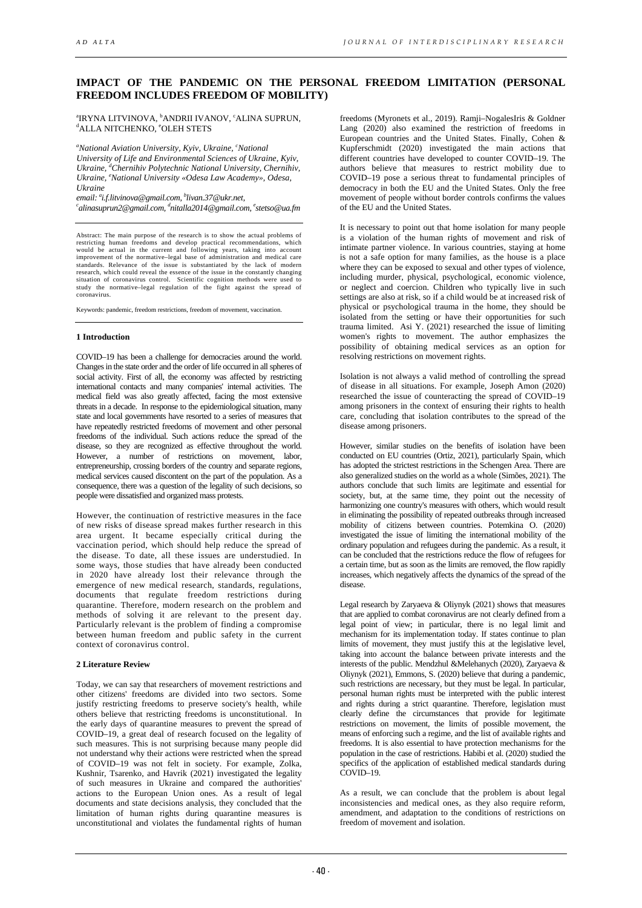# **IMPACT OF THE PANDEMIC ON THE PERSONAL FREEDOM LIMITATION (PERSONAL FREEDOM INCLUDES FREEDOM OF MOBILITY)**

<sup>a</sup>IRYNA LITVINOVA, <sup>b</sup>ANDRII IVANOV, ʿALINA SUPRUN,<br><sup>d</sup>ali a nitchenizo, °ol eh stets ALLA NITCHENKO, <sup>e</sup>OLEH STETS

*a National Aviation University, Kyiv, Ukraine, <sup>c</sup> National University of Life and Environmental Scienсes of Ukraine, Kyiv, Ukraine, d Chernihiv Polytechnic National University, Chernihiv, Ukraine, e National University «Odesa Law Academy», Odesa,* 

Ukraine<br>email: <sup>a</sup>i.f.litvinova@gmail.com, <sup>b</sup>livan.37@ukr.net,<br><sup>c</sup>alingsuprup?@gmail.com, <sup>d</sup>aitalla2014@gmail.com *alinasuprun2@gmail.com, d nitalla2014@gmail.com, e stetso@ua.fm*

Abstract: The main purpose of the research is to show the actual problems of<br>restricting human freedoms and develop practical recommendations, which<br>would be actual in the current and following years, taking into account<br>i standards. Relevance of the issue is substantiated by the lack of modern research, which could reveal the essence of the issue in the constantly changing research, situation of coronavirus control. Scientific cognition methods were used to study the normative–legal regulation of the fight against the spread of coronavirus.

Keywords: pandemic, freedom restrictions, freedom of movement, vaccination.

## **1 Introduction**

COVID–19 has been a challenge for democracies around the world. Changes in the state order and the order of life occurred in all spheres of social activity. First of all, the economy was affected by restricting international contacts and many companies' internal activities. The medical field was also greatly affected, facing the most extensive threats in a decade. In response to the epidemiological situation, many state and local governments have resorted to a series of measures that have repeatedly restricted freedoms of movement and other personal freedoms of the individual. Such actions reduce the spread of the disease, so they are recognized as effective throughout the world. However, a number of restrictions on movement, labor, entrepreneurship, crossing borders of the country and separate regions, medical services caused discontent on the part of the population. As a consequence, there was a question of the legality of such decisions, so people were dissatisfied and organized mass protests.

However, the continuation of restrictive measures in the face of new risks of disease spread makes further research in this area urgent. It became especially critical during the vaccination period, which should help reduce the spread of the disease. To date, all these issues are understudied. In some ways, those studies that have already been conducted in 2020 have already lost their relevance through the emergence of new medical research, standards, regulations, documents that regulate freedom restrictions during quarantine. Therefore, modern research on the problem and methods of solving it are relevant to the present day. Particularly relevant is the problem of finding a compromise between human freedom and public safety in the current context of coronavirus control.

## **2 Literature Review**

Today, we can say that researchers of movement restrictions and other citizens' freedoms are divided into two sectors. Some justify restricting freedoms to preserve society's health, while others believe that restricting freedoms is unconstitutional. In the early days of quarantine measures to prevent the spread of COVID–19, a great deal of research focused on the legality of such measures. This is not surprising because many people did not understand why their actions were restricted when the spread of COVID–19 was not felt in society. For example, Zolka, Kushnir, Tsarenko, and Havrik (2021) investigated the legality of such measures in Ukraine and compared the authorities' actions to the European Union ones. As a result of legal documents and state decisions analysis, they concluded that the limitation of human rights during quarantine measures is unconstitutional and violates the fundamental rights of human

freedoms (Myronets et al., 2019). Ramji–NogalesIris & Goldner Lang (2020) also examined the restriction of freedoms in European countries and the United States. Finally, Cohen & Kupferschmidt (2020) investigated the main actions that different countries have developed to counter COVID–19. The authors believe that measures to restrict mobility due to COVID–19 pose a serious threat to fundamental principles of democracy in both the EU and the United States. Only the free movement of people without border controls confirms the values of the EU and the United States.

It is necessary to point out that home isolation for many people is a violation of the human rights of movement and risk of intimate partner violence. In various countries, staying at home is not a safe option for many families, as the house is a place where they can be exposed to sexual and other types of violence, including murder, physical, psychological, economic violence, or neglect and coercion. Children who typically live in such settings are also at risk, so if a child would be at increased risk of physical or psychological trauma in the home, they should be isolated from the setting or have their opportunities for such trauma limited. Asi Y.  $(2021)$  researched the issue of limiting women's rights to movement. The author emphasizes the possibility of obtaining medical services as an option for resolving restrictions on movement rights.

Isolation is not always a valid method of controlling the spread of disease in all situations. For example, Joseph Amon (2020) researched the issue of counteracting the spread of COVID–19 among prisoners in the context of ensuring their rights to health care, concluding that isolation contributes to the spread of the disease among prisoners.

However, similar studies on the benefits of isolation have been conducted on EU countries (Ortiz, 2021), particularly Spain, which has adopted the strictest restrictions in the Schengen Area. There are also generalized studies on the world as a whole (Simões, 2021). The authors conclude that such limits are legitimate and essential for society, but, at the same time, they point out the necessity of harmonizing one country's measures with others, which would result in eliminating the possibility of repeated outbreaks through increased mobility of citizens between countries. Potemkina O. (2020) investigated the issue of limiting the international mobility of the ordinary population and refugees during the pandemic. As a result, it can be concluded that the restrictions reduce the flow of refugees for a certain time, but as soon as the limits are removed, the flow rapidly increases, which negatively affects the dynamics of the spread of the disease.

Legal research by Zaryaeva & Oliynyk (2021) shows that measures that are applied to combat coronavirus are not clearly defined from a legal point of view; in particular, there is no legal limit and mechanism for its implementation today. If states continue to plan limits of movement, they must justify this at the legislative level, taking into account the balance between private interests and the interests of the public. Mendzhul &Melehanych (2020), Zaryaeva & Oliynyk (2021), Emmons, S. (2020) believe that during a pandemic, such restrictions are necessary, but they must be legal. In particular, personal human rights must be interpreted with the public interest and rights during a strict quarantine. Therefore, legislation must clearly define the circumstances that provide for legitimate restrictions on movement, the limits of possible movement, the means of enforcing such a regime, and the list of available rights and freedoms. It is also essential to have protection mechanisms for the population in the case of restrictions. Habibi et al. (2020) studied the specifics of the application of established medical standards during  $COVID=19$ 

As a result, we can conclude that the problem is about legal inconsistencies and medical ones, as they also require reform, amendment, and adaptation to the conditions of restrictions on freedom of movement and isolation.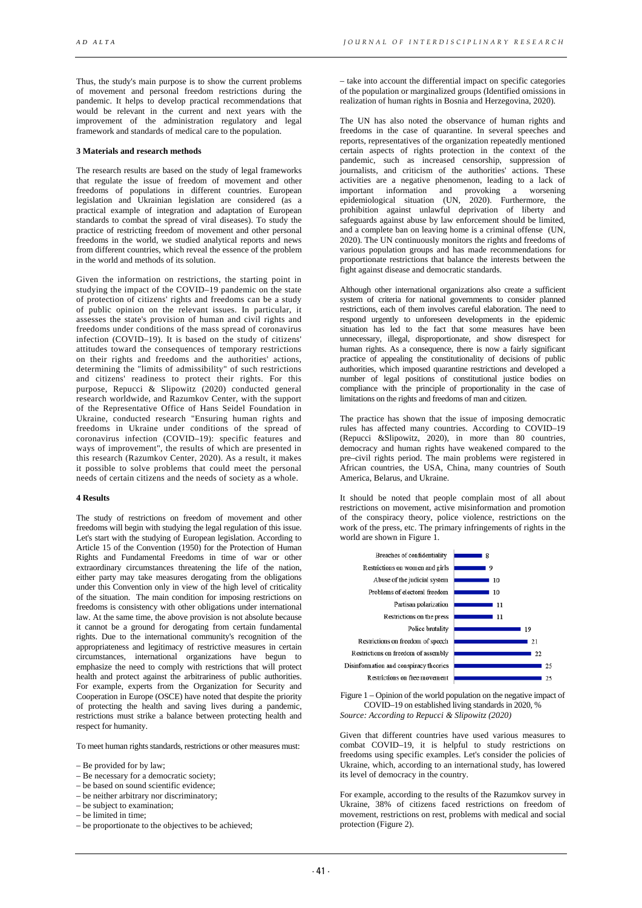Thus, the study's main purpose is to show the current problems of movement and personal freedom restrictions during the pandemic. It helps to develop practical recommendations that would be relevant in the current and next years with the improvement of the administration regulatory and legal framework and standards of medical care to the population.

# **3 Materials and research methods**

The research results are based on the study of legal frameworks that regulate the issue of freedom of movement and other freedoms of populations in different countries. European legislation and Ukrainian legislation are considered (as a practical example of integration and adaptation of European standards to combat the spread of viral diseases). To study the practice of restricting freedom of movement and other personal freedoms in the world, we studied analytical reports and news from different countries, which reveal the essence of the problem in the world and methods of its solution.

Given the information on restrictions, the starting point in studying the impact of the COVID–19 pandemic on the state of protection of citizens' rights and freedoms can be a study of public opinion on the relevant issues. In particular, it assesses the state's provision of human and civil rights and freedoms under conditions of the mass spread of coronavirus infection (COVID–19). It is based on the study of citizens' attitudes toward the consequences of temporary restrictions on their rights and freedoms and the authorities' actions, determining the "limits of admissibility" of such restrictions and citizens' readiness to protect their rights. For this purpose, Repucci & Slipowitz (2020) conducted general research worldwide, and Razumkov Center, with the support of the Representative Office of Hans Seidel Foundation in Ukraine, conducted research "Ensuring human rights and freedoms in Ukraine under conditions of the spread of coronavirus infection (COVID–19): specific features and ways of improvement", the results of which are presented in this research (Razumkov Center, 2020). As a result, it makes it possible to solve problems that could meet the personal needs of certain citizens and the needs of society as a whole.

#### **4 Results**

The study of restrictions on freedom of movement and other freedoms will begin with studying the legal regulation of this issue. Let's start with the studying of European legislation. According to Article 15 of the Convention (1950) for the Protection of Human Rights and Fundamental Freedoms in time of war or other extraordinary circumstances threatening the life of the nation, either party may take measures derogating from the obligations under this Convention only in view of the high level of criticality of the situation. The main condition for imposing restrictions on freedoms is consistency with other obligations under international law. At the same time, the above provision is not absolute because it cannot be a ground for derogating from certain fundamental rights. Due to the international community's recognition of the appropriateness and legitimacy of restrictive measures in certain circumstances, international organizations have begun to emphasize the need to comply with restrictions that will protect health and protect against the arbitrariness of public authorities. For example, experts from the Organization for Security and Cooperation in Europe (OSCE) have noted that despite the priority of protecting the health and saving lives during a pandemic, restrictions must strike a balance between protecting health and respect for humanity.

To meet human rights standards, restrictions or other measures must:

- Be necessary for a democratic society;
- be based on sound scientific evidence;
- be neither arbitrary nor discriminatory;
- be subject to examination;
- be limited in time;
- be proportionate to the objectives to be achieved;

– take into account the differential impact on specific categories of the population or marginalized groups (Identified omissions in realization of human rights in Bosnia and Herzegovina, 2020).

The UN has also noted the observance of human rights and freedoms in the case of quarantine. In several speeches and reports, representatives of the organization repeatedly mentioned certain aspects of rights protection in the context of the pandemic, such as increased censorship, suppression of journalists, and criticism of the authorities' actions. These activities are a negative phenomenon, leading to a lack of important information and provoking a worsening epidemiological situation (UN, 2020). Furthermore, the prohibition against unlawful deprivation of liberty and safeguards against abuse by law enforcement should be limited, and a complete ban on leaving home is a criminal offense (UN, 2020). The UN continuously monitors the rights and freedoms of various population groups and has made recommendations for proportionate restrictions that balance the interests between the fight against disease and democratic standards.

Although other international organizations also create a sufficient system of criteria for national governments to consider planned restrictions, each of them involves careful elaboration. The need to respond urgently to unforeseen developments in the epidemic situation has led to the fact that some measures have been unnecessary, illegal, disproportionate, and show disrespect for human rights. As a consequence, there is now a fairly significant practice of appealing the constitutionality of decisions of public authorities, which imposed quarantine restrictions and developed a number of legal positions of constitutional justice bodies on compliance with the principle of proportionality in the case of limitations on the rights and freedoms of man and citizen.

The practice has shown that the issue of imposing democratic rules has affected many countries. According to COVID–19 (Repucci &Slipowitz, 2020), in more than 80 countries, democracy and human rights have weakened compared to the pre–civil rights period. The main problems were registered in African countries, the USA, China, many countries of South America, Belarus, and Ukraine.

It should be noted that people complain most of all about restrictions on movement, active misinformation and promotion of the conspiracy theory, police violence, restrictions on the work of the press, etc. The primary infringements of rights in the world are shown in Figure 1.



Figure 1 – Opinion of the world population on the negative impact of COVID–19 on established living standards in 2020, % *Source: According to Repucci & Slipowitz (2020)*

Given that different countries have used various measures to combat COVID–19, it is helpful to study restrictions on freedoms using specific examples. Let's consider the policies of Ukraine, which, according to an international study, has lowered its level of democracy in the country.

For example, according to the results of the Razumkov survey in Ukraine, 38% of citizens faced restrictions on freedom of movement, restrictions on rest, problems with medical and social protection (Figure 2).

<sup>–</sup> Be provided for by law;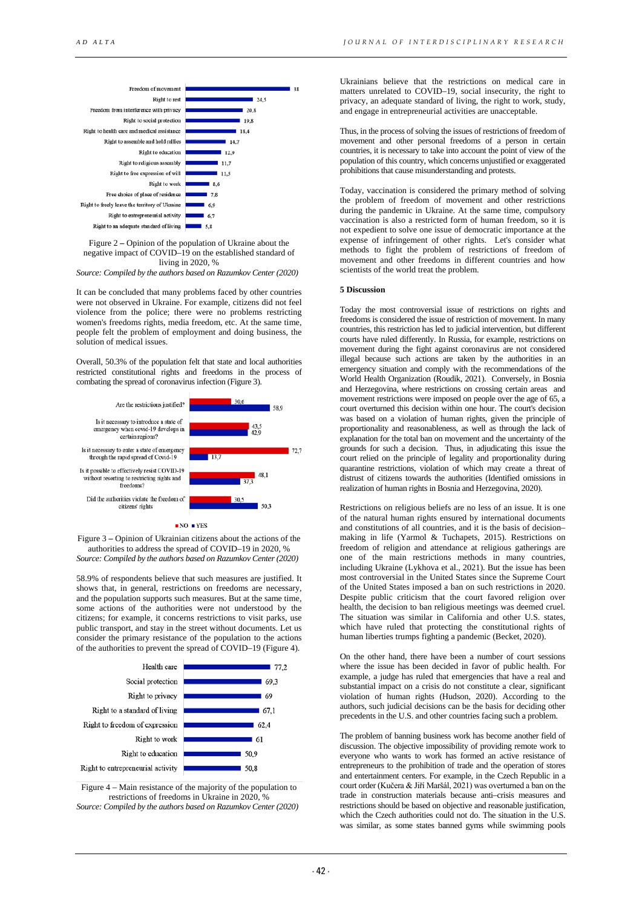

Figure 2 **–** Opinion of the population of Ukraine about the negative impact of COVID–19 on the established standard of living in 2020, %

*Source: Compiled by the authors based on Razumkov Center (2020)*

It can be concluded that many problems faced by other countries were not observed in Ukraine. For example, citizens did not feel violence from the police; there were no problems restricting women's freedoms rights, media freedom, etc. At the same time, people felt the problem of employment and doing business, the solution of medical issues.

Overall, 50.3% of the population felt that state and local authorities restricted constitutional rights and freedoms in the process of combating the spread of coronavirus infection (Figure 3).



Figure 3 **–** Opinion of Ukrainian citizens about the actions of the authorities to address the spread of COVID–19 in 2020, % *Source: Compiled by the authors based on Razumkov Center (2020)*

58.9% of respondents believe that such measures are justified. It shows that, in general, restrictions on freedoms are necessary, and the population supports such measures. But at the same time, some actions of the authorities were not understood by the citizens; for example, it concerns restrictions to visit parks, use public transport, and stay in the street without documents. Let us consider the primary resistance of the population to the actions of the authorities to prevent the spread of COVID–19 (Figure 4).



Figure 4 – Main resistance of the majority of the population to restrictions of freedoms in Ukraine in 2020, % *Source: Compiled by the authors based on Razumkov Center (2020)*

Ukrainians believe that the restrictions on medical care in matters unrelated to COVID–19, social insecurity, the right to privacy, an adequate standard of living, the right to work, study, and engage in entrepreneurial activities are unacceptable.

Thus, in the process of solving the issues of restrictions of freedom of movement and other personal freedoms of a person in certain countries, it is necessary to take into account the point of view of the population of this country, which concerns unjustified or exaggerated prohibitions that cause misunderstanding and protests.

Today, vaccination is considered the primary method of solving the problem of freedom of movement and other restrictions during the pandemic in Ukraine. At the same time, compulsory vaccination is also a restricted form of human freedom, so it is not expedient to solve one issue of democratic importance at the expense of infringement of other rights. Let's consider what methods to fight the problem of restrictions of freedom of movement and other freedoms in different countries and how scientists of the world treat the problem.

## **5 Discussion**

Today the most controversial issue of restrictions on rights and freedoms is considered the issue of restriction of movement. In many countries, this restriction has led to judicial intervention, but different courts have ruled differently. In Russia, for example, restrictions on movement during the fight against coronavirus are not considered illegal because such actions are taken by the authorities in an emergency situation and comply with the recommendations of the World Health Organization (Roudik, 2021). Conversely, in Bosnia and Herzegovina, where restrictions on crossing certain areas and movement restrictions were imposed on people over the age of 65, a court overturned this decision within one hour. The court's decision was based on a violation of human rights, given the principle of proportionality and reasonableness, as well as through the lack of explanation for the total ban on movement and the uncertainty of the grounds for such a decision. Thus, in adjudicating this issue the court relied on the principle of legality and proportionality during quarantine restrictions, violation of which may create a threat of distrust of citizens towards the authorities (Identified omissions in realization of human rights in Bosnia and Herzegovina, 2020).

Restrictions on religious beliefs are no less of an issue. It is one of the natural human rights ensured by international documents and constitutions of all countries, and it is the basis of decision– making in life (Yarmol & Tuchapets, 2015). Restrictions on freedom of religion and attendance at religious gatherings are one of the main restrictions methods in many countries, including Ukraine (Lykhova et al., 2021). But the issue has been most controversial in the United States since the Supreme Court of the United States imposed a ban on such restrictions in 2020. Despite public criticism that the court favored religion over health, the decision to ban religious meetings was deemed cruel. The situation was similar in California and other U.S. states, which have ruled that protecting the constitutional rights of human liberties trumps fighting a pandemic (Becket, 2020).

On the other hand, there have been a number of court sessions where the issue has been decided in favor of public health. For example, a judge has ruled that emergencies that have a real and substantial impact on a crisis do not constitute a clear, significant violation of human rights (Hudson, 2020). According to the authors, such judicial decisions can be the basis for deciding other precedents in the U.S. and other countries facing such a problem.

The problem of banning business work has become another field of discussion. The objective impossibility of providing remote work to everyone who wants to work has formed an active resistance of entrepreneurs to the prohibition of trade and the operation of stores and entertainment centers. For example, in the Czech Republic in a court order (Kučera & Jiří Maršál, 2021) was overturned a ban on the trade in construction materials because anti–crisis measures and restrictions should be based on objective and reasonable justification, which the Czech authorities could not do. The situation in the U.S. was similar, as some states banned gyms while swimming pools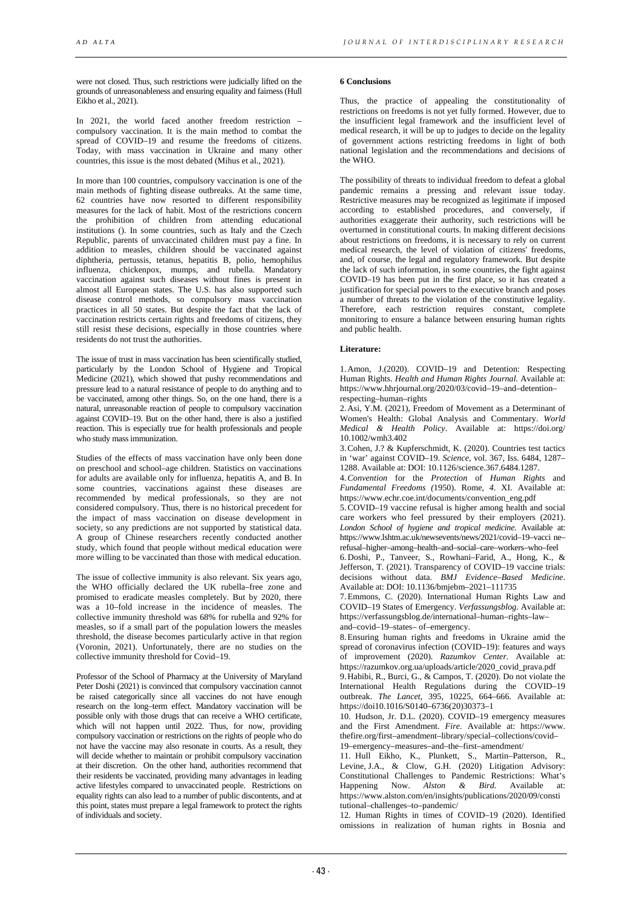were not closed. Thus, such restrictions were judicially lifted on the grounds of unreasonableness and ensuring equality and fairness (Hull Eikho et al., 2021).

In 2021, the world faced another freedom restriction compulsory vaccination. It is the main method to combat the spread of COVID–19 and resume the freedoms of citizens. Today, with mass vaccination in Ukraine and many other countries, this issue is the most debated (Mihus et al., 2021).

In more than 100 countries, compulsory vaccination is one of the main methods of fighting disease outbreaks. At the same time, 62 countries have now resorted to different responsibility measures for the lack of habit. Most of the restrictions concern the prohibition of children from attending educational institutions (). In some countries, such as Italy and the Czech Republic, parents of unvaccinated children must pay a fine. In addition to measles, children should be vaccinated against diphtheria, pertussis, tetanus, hepatitis B, polio, hemophilus influenza, chickenpox, mumps, and rubella. Mandatory vaccination against such diseases without fines is present in almost all European states. The U.S. has also supported such disease control methods, so compulsory mass vaccination practices in all 50 states. But despite the fact that the lack of vaccination restricts certain rights and freedoms of citizens, they still resist these decisions, especially in those countries where residents do not trust the authorities.

The issue of trust in mass vaccination has been scientifically studied, particularly by the London School of Hygiene and Tropical Medicine (2021), which showed that pushy recommendations and pressure lead to a natural resistance of people to do anything and to be vaccinated, among other things. So, on the one hand, there is a natural, unreasonable reaction of people to compulsory vaccination against COVID–19. But on the other hand, there is also a justified reaction. This is especially true for health professionals and people who study mass immunization.

Studies of the effects of mass vaccination have only been done on preschool and school–age children. Statistics on vaccinations for adults are available only for influenza, hepatitis A, and B. In some countries, vaccinations against these diseases are recommended by medical professionals, so they are not considered compulsory. Thus, there is no historical precedent for the impact of mass vaccination on disease development in society, so any predictions are not supported by statistical data. A group of Chinese researchers recently conducted another study, which found that people without medical education were more willing to be vaccinated than those with medical education.

The issue of collective immunity is also relevant. Six years ago, the WHO officially declared the UK rubella–free zone and promised to eradicate measles completely. But by 2020, there was a 10–fold increase in the incidence of measles. The collective immunity threshold was 68% for rubella and 92% for measles, so if a small part of the population lowers the measles threshold, the disease becomes particularly active in that region (Voronin, 2021). Unfortunately, there are no studies on the collective immunity threshold for Covid–19.

Professor of the School of Pharmacy at the University of Maryland Peter Doshi (2021) is convinced that compulsory vaccination cannot be raised categorically since all vaccines do not have enough research on the long–term effect. Mandatory vaccination will be possible only with those drugs that can receive a WHO certificate, which will not happen until 2022. Thus, for now, providing compulsory vaccination or restrictions on the rights of people who do not have the vaccine may also resonate in courts. As a result, they will decide whether to maintain or prohibit compulsory vaccination at their discretion. On the other hand, authorities recommend that their residents be vaccinated, providing many advantages in leading active lifestyles compared to unvaccinated people. Restrictions on equality rights can also lead to a number of public discontents, and at this point, states must prepare a legal framework to protect the rights of individuals and society.

# **6 Conclusions**

Thus, the practice of appealing the constitutionality of restrictions on freedoms is not yet fully formed. However, due to the insufficient legal framework and the insufficient level of medical research, it will be up to judges to decide on the legality of government actions restricting freedoms in light of both national legislation and the recommendations and decisions of the WHO.

The possibility of threats to individual freedom to defeat a global pandemic remains a pressing and relevant issue today. Restrictive measures may be recognized as legitimate if imposed according to established procedures, and conversely, if authorities exaggerate their authority, such restrictions will be overturned in constitutional courts. In making different decisions about restrictions on freedoms, it is necessary to rely on current medical research, the level of violation of citizens' freedoms, and, of course, the legal and regulatory framework. But despite the lack of such information, in some countries, the fight against COVID–19 has been put in the first place, so it has created a justification for special powers to the executive branch and poses a number of threats to the violation of the constitutive legality. Therefore, each restriction requires constant, complete monitoring to ensure a balance between ensuring human rights and public health.

# **Literature:**

1.Amon, J.(2020). COVID–19 and Detention: Respecting Human Rights. *Health and Human Rights Journal.* Available at: https://www.hhrjournal.org/2020/03/covid–19–and–detention– respecting–human–rights

2.Asi, Y.M. (2021), Freedom of Movement as a Determinant of Women's Health: Global Analysis and Commentary. *World Medical & Health Policy*. Available at: https://doi.org/ 10.1002/wmh3.402

3.Cohen, J.? & Kupferschmidt, K. (2020). Countries test tactics in 'war' against COVID–19. *Science,* vol. 367, Iss. 6484, 1287– 1288. Available at: DOI: 10.1126/science.367.6484.1287.

4.*Convention* for the *Protection* of *Human Rights* and *Fundamental Freedoms (*1950). Rome, *4*. XI. Available at: https://www.echr.coe.int/documents/convention\_eng.pdf

5.COVID–19 vaccine refusal is higher among health and social care workers who feel pressured by their employers (2021). *London School of hygiene and tropical medicine.* Available at: https://www.lshtm.ac.uk/newsevents/news/2021/covid–19–vacci ne– refusal–higher–among–health–and–social–care–workers–who–feel

6.Doshi, P., Tanveer, S., Rowhani–Farid, A., Hong, K., & Jefferson, T. (2021). Transparency of COVID–19 vaccine trials: decisions without data. *BMJ Evidence–Based Medicine*. Available at: DOI: 10.1136/bmjebm–2021–111735

7.Emmons, C. (2020). International Human Rights Law and COVID–19 States of Emergency. *Verfassungsblog.* Available at: https://verfassungsblog.de/international–human–rights–law– and–covid–19–states– of–emergency.

8.Ensuring human rights and freedoms in Ukraine amid the spread of coronavirus infection (COVID–19): features and ways of improvement (2020). *Razumkov Center.* Available at: https://razumkov.org.ua/uploads/article/2020\_covid\_prava.pdf

9.Habibi, R., Burci, G., & Campos, T. (2020). Do not violate the International Health Regulations during the COVID–19 outbreak. *The Lancet*, 395, 10225, 664–666. Available at: https:// doi10.1016/S0140–6736(20)30373–1

10. Hudson, Jr. D.L. (2020). COVID–19 emergency measures and the First Amendment. *Fire.* Available at: https://www. thefire.org/first–amendment–library/special–collections/covid– 19–emergency–measures–and–the–first–amendment/

11. Hull Eikho, K., Plunkett, S., Martin–Patterson, R., Levine, J.A., & Clow, G.H. (2020) Litigation Advisory: Constitutional Challenges to Pandemic Restrictions: What's Happening Now. *Alston & Bird*. Available at: https://www.alston.com/en/insights/publications/2020/09/consti tutional–challenges–to–pandemic/

12. Human Rights in times of COVID–19 (2020). Identified omissions in realization of human rights in Bosnia and